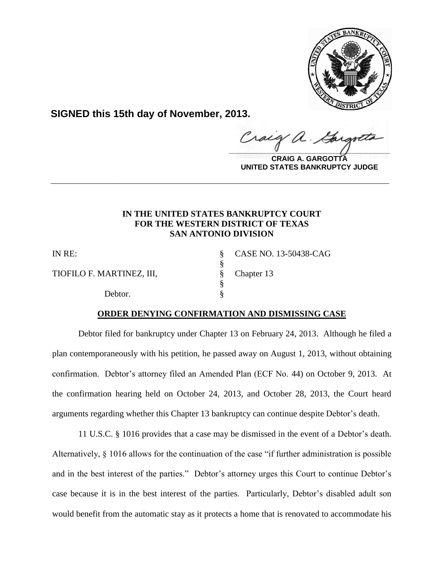

**SIGNED this 15th day of November, 2013.**

 $\hat{\mathcal{A}}$ .  $\frac{1}{2}$ 

**CRAIG A. GARGOTTA UNITED STATES BANKRUPTCY JUDGE**

## **IN THE UNITED STATES BANKRUPTCY COURT FOR THE WESTERN DISTRICT OF TEXAS SAN ANTONIO DIVISION**

**\_\_\_\_\_\_\_\_\_\_\_\_\_\_\_\_\_\_\_\_\_\_\_\_\_\_\_\_\_\_\_\_\_\_\_\_\_\_\_\_\_\_\_\_\_\_\_\_\_\_\_\_\_\_\_\_\_\_\_\_**

§

§

TIOFILO F. MARTINEZ, III,  $\S$  Chapter 13

Debtor.  $\S$ 

IN RE: § CASE NO. 13-50438-CAG

## **ORDER DENYING CONFIRMATION AND DISMISSING CASE**

Debtor filed for bankruptcy under Chapter 13 on February 24, 2013. Although he filed a plan contemporaneously with his petition, he passed away on August 1, 2013, without obtaining confirmation. Debtor's attorney filed an Amended Plan (ECF No. 44) on October 9, 2013. At the confirmation hearing held on October 24, 2013, and October 28, 2013, the Court heard arguments regarding whether this Chapter 13 bankruptcy can continue despite Debtor's death.

11 U.S.C. § 1016 provides that a case may be dismissed in the event of a Debtor's death. Alternatively, § 1016 allows for the continuation of the case "if further administration is possible and in the best interest of the parties." Debtor's attorney urges this Court to continue Debtor's case because it is in the best interest of the parties. Particularly, Debtor's disabled adult son would benefit from the automatic stay as it protects a home that is renovated to accommodate his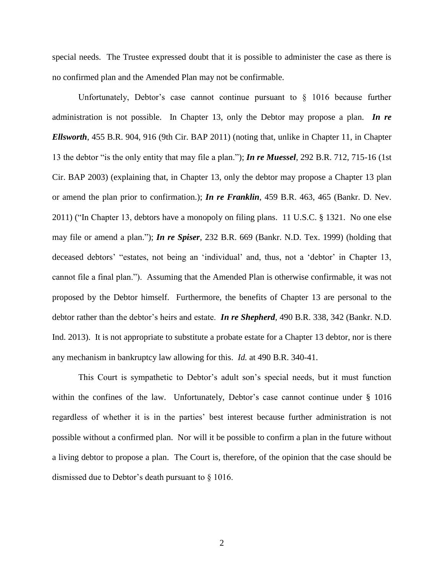special needs. The Trustee expressed doubt that it is possible to administer the case as there is no confirmed plan and the Amended Plan may not be confirmable.

Unfortunately, Debtor's case cannot continue pursuant to  $\S$  1016 because further administration is not possible. In Chapter 13, only the Debtor may propose a plan. *In re Ellsworth*, 455 B.R. 904, 916 (9th Cir. BAP 2011) (noting that, unlike in Chapter 11, in Chapter 13 the debtor "is the only entity that may file a plan."); *In re Muessel*, 292 B.R. 712, 715-16 (1st Cir. BAP 2003) (explaining that, in Chapter 13, only the debtor may propose a Chapter 13 plan or amend the plan prior to confirmation.); *In re Franklin*, 459 B.R. 463, 465 (Bankr. D. Nev. 2011) ("In Chapter 13, debtors have a monopoly on filing plans. 11 U.S.C. § 1321. No one else may file or amend a plan."); *In re Spiser*, 232 B.R. 669 (Bankr. N.D. Tex. 1999) (holding that deceased debtors' "estates, not being an 'individual' and, thus, not a 'debtor' in Chapter 13, cannot file a final plan."). Assuming that the Amended Plan is otherwise confirmable, it was not proposed by the Debtor himself. Furthermore, the benefits of Chapter 13 are personal to the debtor rather than the debtor's heirs and estate. *In re Shepherd*, 490 B.R. 338, 342 (Bankr. N.D. Ind. 2013). It is not appropriate to substitute a probate estate for a Chapter 13 debtor, nor is there any mechanism in bankruptcy law allowing for this. *Id.* at 490 B.R. 340-41.

This Court is sympathetic to Debtor's adult son's special needs, but it must function within the confines of the law. Unfortunately, Debtor's case cannot continue under § 1016 regardless of whether it is in the parties' best interest because further administration is not possible without a confirmed plan. Nor will it be possible to confirm a plan in the future without a living debtor to propose a plan. The Court is, therefore, of the opinion that the case should be dismissed due to Debtor's death pursuant to § 1016.